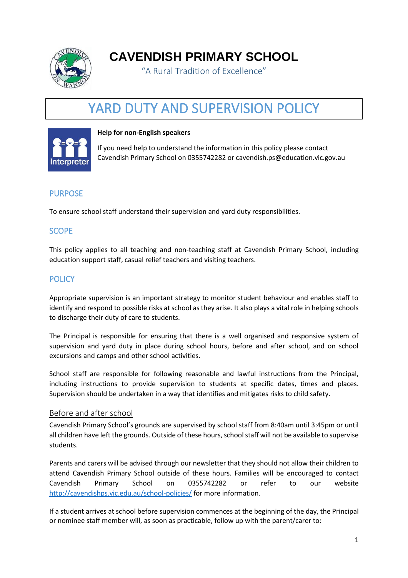

**CAVENDISH PRIMARY SCHOOL**

"A Rural Tradition of Excellence"

# YARD DUTY AND SUPERVISION POLICY



**Help for non-English speakers**

If you need help to understand the information in this policy please contact Cavendish Primary School on 0355742282 or cavendish.ps@education.vic.gov.au

# PURPOSE

To ensure school staff understand their supervision and yard duty responsibilities.

# **SCOPE**

This policy applies to all teaching and non-teaching staff at Cavendish Primary School, including education support staff, casual relief teachers and visiting teachers.

# **POLICY**

Appropriate supervision is an important strategy to monitor student behaviour and enables staff to identify and respond to possible risks at school as they arise. It also plays a vital role in helping schools to discharge their duty of care to students.

The Principal is responsible for ensuring that there is a well organised and responsive system of supervision and yard duty in place during school hours, before and after school, and on school excursions and camps and other school activities.

School staff are responsible for following reasonable and lawful instructions from the Principal, including instructions to provide supervision to students at specific dates, times and places. Supervision should be undertaken in a way that identifies and mitigates risks to child safety.

# Before and after school

Cavendish Primary School's grounds are supervised by school staff from 8:40am until 3:45pm or until all children have left the grounds. Outside of these hours, school staff will not be available to supervise students.

Parents and carers will be advised through our newsletter that they should not allow their children to attend Cavendish Primary School outside of these hours. Families will be encouraged to contact Cavendish Primary School on 0355742282 or refer to our website <http://cavendishps.vic.edu.au/school-policies/> for more information.

If a student arrives at school before supervision commences at the beginning of the day, the Principal or nominee staff member will, as soon as practicable, follow up with the parent/carer to: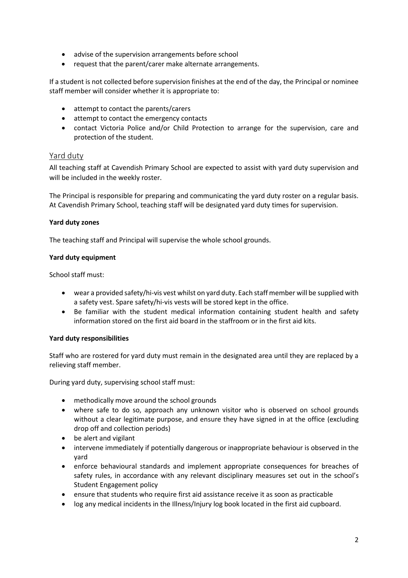- advise of the supervision arrangements before school
- request that the parent/carer make alternate arrangements.

If a student is not collected before supervision finishes at the end of the day, the Principal or nominee staff member will consider whether it is appropriate to:

- attempt to contact the parents/carers
- attempt to contact the emergency contacts
- contact Victoria Police and/or Child Protection to arrange for the supervision, care and protection of the student.

# Yard duty

All teaching staff at Cavendish Primary School are expected to assist with yard duty supervision and will be included in the weekly roster.

The Principal is responsible for preparing and communicating the yard duty roster on a regular basis. At Cavendish Primary School, teaching staff will be designated yard duty times for supervision.

# **Yard duty zones**

The teaching staff and Principal will supervise the whole school grounds.

#### **Yard duty equipment**

School staff must:

- wear a provided safety/hi-vis vest whilst on yard duty. Each staff member will be supplied with a safety vest. Spare safety/hi-vis vests will be stored kept in the office.
- Be familiar with the student medical information containing student health and safety information stored on the first aid board in the staffroom or in the first aid kits.

# **Yard duty responsibilities**

Staff who are rostered for yard duty must remain in the designated area until they are replaced by a relieving staff member.

During yard duty, supervising school staff must:

- methodically move around the school grounds
- where safe to do so, approach any unknown visitor who is observed on school grounds without a clear legitimate purpose, and ensure they have signed in at the office (excluding drop off and collection periods)
- be alert and vigilant
- intervene immediately if potentially dangerous or inappropriate behaviour is observed in the yard
- enforce behavioural standards and implement appropriate consequences for breaches of safety rules, in accordance with any relevant disciplinary measures set out in the school's Student Engagement policy
- ensure that students who require first aid assistance receive it as soon as practicable
- log any medical incidents in the Illness/Injury log book located in the first aid cupboard.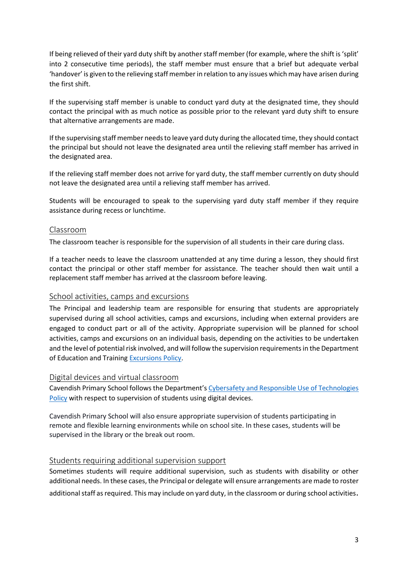If being relieved of their yard duty shift by another staff member (for example, where the shift is 'split' into 2 consecutive time periods), the staff member must ensure that a brief but adequate verbal 'handover' is given to the relieving staff member in relation to any issues which may have arisen during the first shift.

If the supervising staff member is unable to conduct yard duty at the designated time, they should contact the principal with as much notice as possible prior to the relevant yard duty shift to ensure that alternative arrangements are made.

If the supervising staff member needs to leave yard duty during the allocated time, they should contact the principal but should not leave the designated area until the relieving staff member has arrived in the designated area.

If the relieving staff member does not arrive for yard duty, the staff member currently on duty should not leave the designated area until a relieving staff member has arrived.

Students will be encouraged to speak to the supervising yard duty staff member if they require assistance during recess or lunchtime.

#### Classroom

The classroom teacher is responsible for the supervision of all students in their care during class.

If a teacher needs to leave the classroom unattended at any time during a lesson, they should first contact the principal or other staff member for assistance. The teacher should then wait until a replacement staff member has arrived at the classroom before leaving.

# School activities, camps and excursions

The Principal and leadership team are responsible for ensuring that students are appropriately supervised during all school activities, camps and excursions, including when external providers are engaged to conduct part or all of the activity. Appropriate supervision will be planned for school activities, camps and excursions on an individual basis, depending on the activities to be undertaken and the level of potential risk involved, and will follow the supervision requirements in the Department of Education and Training [Excursions Policy.](https://www2.education.vic.gov.au/pal/excursions/policy)

# Digital devices and virtual classroom

Cavendish Primary School follows the Department's [Cybersafety and Responsible Use of Technologies](https://www2.education.vic.gov.au/pal/cybersafety/policy)  [Policy](https://www2.education.vic.gov.au/pal/cybersafety/policy) with respect to supervision of students using digital devices.

Cavendish Primary School will also ensure appropriate supervision of students participating in remote and flexible learning environments while on school site. In these cases, students will be supervised in the library or the break out room.

# Students requiring additional supervision support

Sometimes students will require additional supervision, such as students with disability or other additional needs. In these cases, the Principal or delegate will ensure arrangements are made to roster additional staff as required. This may include on yard duty, in the classroom or during school activities.